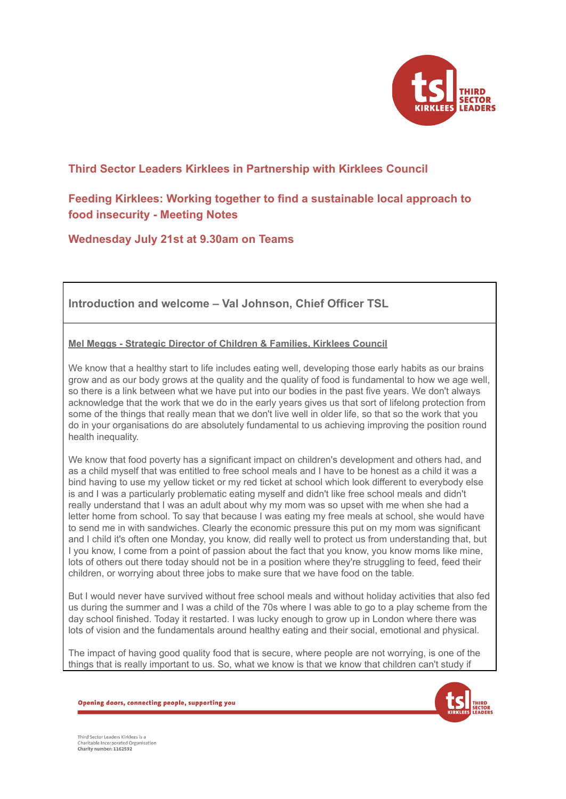

# **Third Sector Leaders Kirklees in Partnership with Kirklees Council**

# **Feeding Kirklees: Working together to find a sustainable local approach to food insecurity - Meeting Notes**

**Wednesday July 21st at 9.30am on Teams**

**Introduction and welcome – Val Johnson, Chief Officer TSL**

**Mel Meggs - Strategic Director of Children & Families, Kirklees Council**

We know that a healthy start to life includes eating well, developing those early habits as our brains grow and as our body grows at the quality and the quality of food is fundamental to how we age well, so there is a link between what we have put into our bodies in the past five years. We don't always acknowledge that the work that we do in the early years gives us that sort of lifelong protection from some of the things that really mean that we don't live well in older life, so that so the work that you do in your organisations do are absolutely fundamental to us achieving improving the position round health inequality.

We know that food poverty has a significant impact on children's development and others had, and as a child myself that was entitled to free school meals and I have to be honest as a child it was a bind having to use my yellow ticket or my red ticket at school which look different to everybody else is and I was a particularly problematic eating myself and didn't like free school meals and didn't really understand that I was an adult about why my mom was so upset with me when she had a letter home from school. To say that because I was eating my free meals at school, she would have to send me in with sandwiches. Clearly the economic pressure this put on my mom was significant and I child it's often one Monday, you know, did really well to protect us from understanding that, but I you know, I come from a point of passion about the fact that you know, you know moms like mine, lots of others out there today should not be in a position where they're struggling to feed, feed their children, or worrying about three jobs to make sure that we have food on the table.

But I would never have survived without free school meals and without holiday activities that also fed us during the summer and I was a child of the 70s where I was able to go to a play scheme from the day school finished. Today it restarted. I was lucky enough to grow up in London where there was lots of vision and the fundamentals around healthy eating and their social, emotional and physical.

The impact of having good quality food that is secure, where people are not worrying, is one of the things that is really important to us. So, what we know is that we know that children can't study if



Opening doors, connecting people, supporting you

Third Sector Leaders Kirklees is a Charitable Incorporated Organisation<br>Charity number: 1162592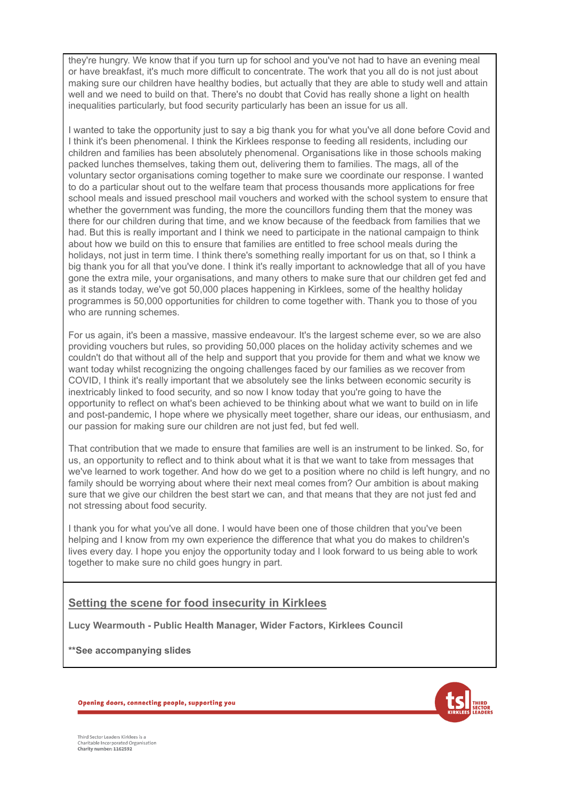they're hungry. We know that if you turn up for school and you've not had to have an evening meal or have breakfast, it's much more difficult to concentrate. The work that you all do is not just about making sure our children have healthy bodies, but actually that they are able to study well and attain well and we need to build on that. There's no doubt that Covid has really shone a light on health inequalities particularly, but food security particularly has been an issue for us all.

I wanted to take the opportunity just to say a big thank you for what you've all done before Covid and I think it's been phenomenal. I think the Kirklees response to feeding all residents, including our children and families has been absolutely phenomenal. Organisations like in those schools making packed lunches themselves, taking them out, delivering them to families. The mags, all of the voluntary sector organisations coming together to make sure we coordinate our response. I wanted to do a particular shout out to the welfare team that process thousands more applications for free school meals and issued preschool mail vouchers and worked with the school system to ensure that whether the government was funding, the more the councillors funding them that the money was there for our children during that time, and we know because of the feedback from families that we had. But this is really important and I think we need to participate in the national campaign to think about how we build on this to ensure that families are entitled to free school meals during the holidays, not just in term time. I think there's something really important for us on that, so I think a big thank you for all that you've done. I think it's really important to acknowledge that all of you have gone the extra mile, your organisations, and many others to make sure that our children get fed and as it stands today, we've got 50,000 places happening in Kirklees, some of the healthy holiday programmes is 50,000 opportunities for children to come together with. Thank you to those of you who are running schemes.

For us again, it's been a massive, massive endeavour. It's the largest scheme ever, so we are also providing vouchers but rules, so providing 50,000 places on the holiday activity schemes and we couldn't do that without all of the help and support that you provide for them and what we know we want today whilst recognizing the ongoing challenges faced by our families as we recover from COVID, I think it's really important that we absolutely see the links between economic security is inextricably linked to food security, and so now I know today that you're going to have the opportunity to reflect on what's been achieved to be thinking about what we want to build on in life and post-pandemic, I hope where we physically meet together, share our ideas, our enthusiasm, and our passion for making sure our children are not just fed, but fed well.

That contribution that we made to ensure that families are well is an instrument to be linked. So, for us, an opportunity to reflect and to think about what it is that we want to take from messages that we've learned to work together. And how do we get to a position where no child is left hungry, and no family should be worrying about where their next meal comes from? Our ambition is about making sure that we give our children the best start we can, and that means that they are not just fed and not stressing about food security.

I thank you for what you've all done. I would have been one of those children that you've been helping and I know from my own experience the difference that what you do makes to children's lives every day. I hope you enjoy the opportunity today and I look forward to us being able to work together to make sure no child goes hungry in part.

## **Setting the scene for food insecurity in Kirklees**

**Lucy Wearmouth - Public Health Manager, Wider Factors, Kirklees Council**

**\*\*See accompanying slides**

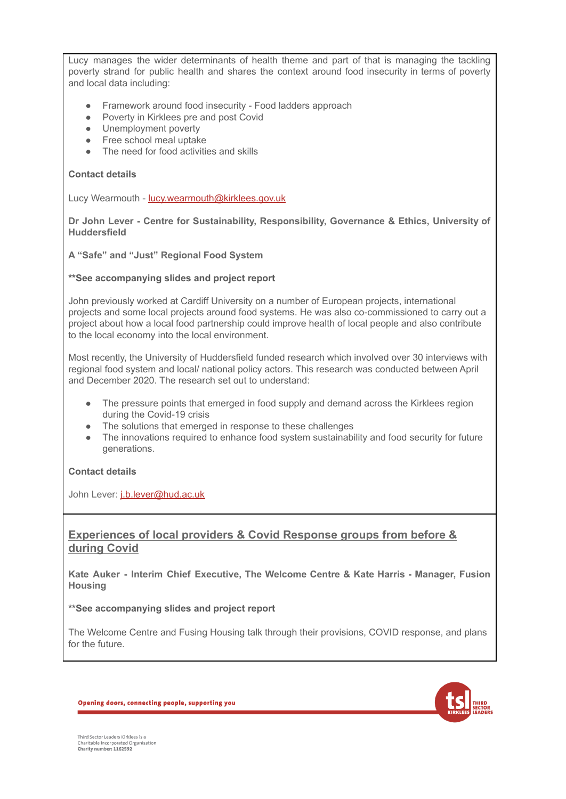Lucy manages the wider determinants of health theme and part of that is managing the tackling poverty strand for public health and shares the context around food insecurity in terms of poverty and local data including:

- Framework around food insecurity Food ladders approach
- Poverty in Kirklees pre and post Covid
- Unemployment poverty
- Free school meal uptake
- The need for food activities and skills

#### **Contact details**

Lucy Wearmouth - [lucy.wearmouth@kirklees.gov.uk](mailto:lucy.wearmouth@kirklees.gov.uk)

**Dr John Lever - Centre for Sustainability, Responsibility, Governance & Ethics, University of Huddersfield**

#### **A "Safe" and "Just" Regional Food System**

#### **\*\*See accompanying slides and project report**

John previously worked at Cardiff University on a number of European projects, international projects and some local projects around food systems. He was also co-commissioned to carry out a project about how a local food partnership could improve health of local people and also contribute to the local economy into the local environment.

Most recently, the University of Huddersfield funded research which involved over 30 interviews with regional food system and local/ national policy actors. This research was conducted between April and December 2020. The research set out to understand:

- The pressure points that emerged in food supply and demand across the Kirklees region during the Covid-19 crisis
- The solutions that emerged in response to these challenges
- The innovations required to enhance food system sustainability and food security for future generations.

#### **Contact details**

John Lever: [j.b.lever@hud.ac.uk](mailto:j.b.lever@hud.ac.uk)

### **Experiences of local providers & Covid Response groups from before & during Covid**

**Kate Auker - Interim Chief Executive, The Welcome Centre & Kate Harris - Manager, Fusion Housing**

#### **\*\*See accompanying slides and project report**

The Welcome Centre and Fusing Housing talk through their provisions, COVID response, and plans for the future.

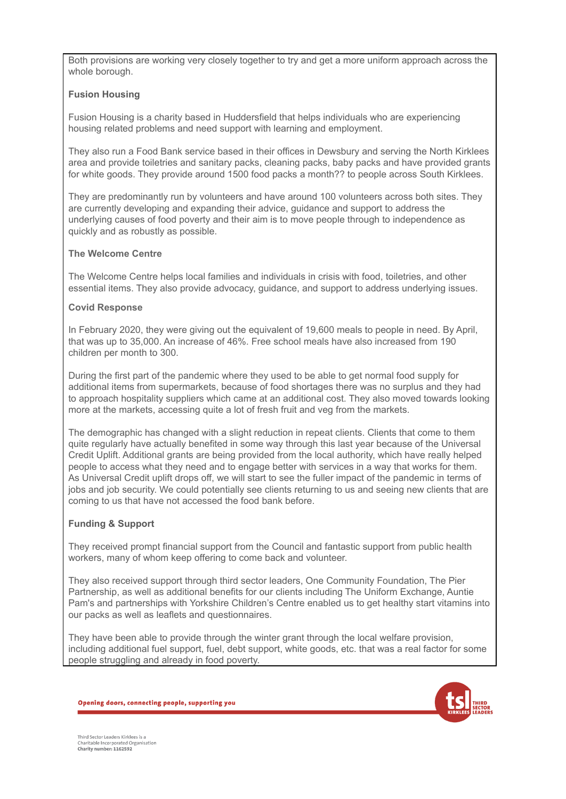Both provisions are working very closely together to try and get a more uniform approach across the whole borough.

#### **Fusion Housing**

Fusion Housing is a charity based in Huddersfield that helps individuals who are experiencing housing related problems and need support with learning and employment.

They also run a Food Bank service based in their offices in Dewsbury and serving the North Kirklees area and provide toiletries and sanitary packs, cleaning packs, baby packs and have provided grants for white goods. They provide around 1500 food packs a month?? to people across South Kirklees.

They are predominantly run by volunteers and have around 100 volunteers across both sites. They are currently developing and expanding their advice, guidance and support to address the underlying causes of food poverty and their aim is to move people through to independence as quickly and as robustly as possible.

#### **The Welcome Centre**

The Welcome Centre helps local families and individuals in crisis with food, toiletries, and other essential items. They also provide advocacy, guidance, and support to address underlying issues.

#### **Covid Response**

In February 2020, they were giving out the equivalent of 19,600 meals to people in need. By April, that was up to 35,000. An increase of 46%. Free school meals have also increased from 190 children per month to 300.

During the first part of the pandemic where they used to be able to get normal food supply for additional items from supermarkets, because of food shortages there was no surplus and they had to approach hospitality suppliers which came at an additional cost. They also moved towards looking more at the markets, accessing quite a lot of fresh fruit and veg from the markets.

The demographic has changed with a slight reduction in repeat clients. Clients that come to them quite regularly have actually benefited in some way through this last year because of the Universal Credit Uplift. Additional grants are being provided from the local authority, which have really helped people to access what they need and to engage better with services in a way that works for them. As Universal Credit uplift drops off, we will start to see the fuller impact of the pandemic in terms of jobs and job security. We could potentially see clients returning to us and seeing new clients that are coming to us that have not accessed the food bank before.

### **Funding & Support**

They received prompt financial support from the Council and fantastic support from public health workers, many of whom keep offering to come back and volunteer.

They also received support through third sector leaders, One Community Foundation, The Pier Partnership, as well as additional benefits for our clients including The Uniform Exchange, Auntie Pam's and partnerships with Yorkshire Children's Centre enabled us to get healthy start vitamins into our packs as well as leaflets and questionnaires.

They have been able to provide through the winter grant through the local welfare provision, including additional fuel support, fuel, debt support, white goods, etc. that was a real factor for some people struggling and already in food poverty.



Opening doors, connecting people, supporting you

Third Sector Leaders Kirklees is a Charitable Incorporated Organisation<br>Charity number: 1162592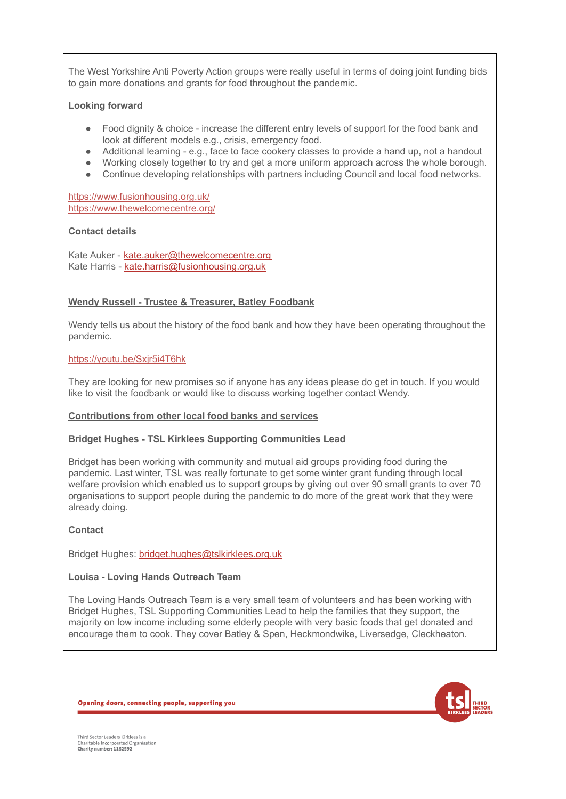The West Yorkshire Anti Poverty Action groups were really useful in terms of doing joint funding bids to gain more donations and grants for food throughout the pandemic.

#### **Looking forward**

- Food dignity & choice increase the different entry levels of support for the food bank and look at different models e.g., crisis, emergency food.
- Additional learning e.g., face to face cookery classes to provide a hand up, not a handout
- Working closely together to try and get a more uniform approach across the whole borough.
- Continue developing relationships with partners including Council and local food networks.

<https://www.fusionhousing.org.uk/> <https://www.thewelcomecentre.org/>

#### **Contact details**

Kate Auker - [kate.auker@thewelcomecentre.org](mailto:kate.auker@thewelcomecentre.org) Kate Harris - [kate.harris@fusionhousing.org.uk](mailto:kate.harris@fusionhousing.org.uk)

#### **Wendy Russell - Trustee & Treasurer, Batley Foodbank**

Wendy tells us about the history of the food bank and how they have been operating throughout the pandemic.

#### <https://youtu.be/Sxjr5i4T6hk>

They are looking for new promises so if anyone has any ideas please do get in touch. If you would like to visit the foodbank or would like to discuss working together contact Wendy.

#### **Contributions from other local food banks and services**

#### **Bridget Hughes - TSL Kirklees Supporting Communities Lead**

Bridget has been working with community and mutual aid groups providing food during the pandemic. Last winter, TSL was really fortunate to get some winter grant funding through local welfare provision which enabled us to support groups by giving out over 90 small grants to over 70 organisations to support people during the pandemic to do more of the great work that they were already doing.

#### **Contact**

Bridget Hughes: [bridget.hughes@tslkirklees.org.uk](mailto:bridget.hughes@tslkirklees.org.uk)

#### **Louisa - Loving Hands Outreach Team**

The Loving Hands Outreach Team is a very small team of volunteers and has been working with Bridget Hughes, TSL Supporting Communities Lead to help the families that they support, the majority on low income including some elderly people with very basic foods that get donated and encourage them to cook. They cover Batley & Spen, Heckmondwike, Liversedge, Cleckheaton.

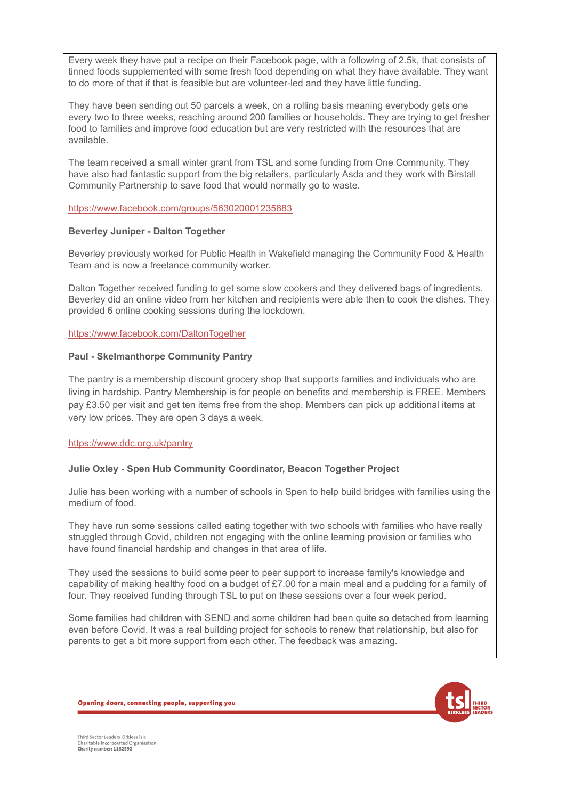Every week they have put a recipe on their Facebook page, with a following of 2.5k, that consists of tinned foods supplemented with some fresh food depending on what they have available. They want to do more of that if that is feasible but are volunteer-led and they have little funding.

They have been sending out 50 parcels a week, on a rolling basis meaning everybody gets one every two to three weeks, reaching around 200 families or households. They are trying to get fresher food to families and improve food education but are very restricted with the resources that are available.

The team received a small winter grant from TSL and some funding from One Community. They have also had fantastic support from the big retailers, particularly Asda and they work with Birstall Community Partnership to save food that would normally go to waste.

<https://www.facebook.com/groups/563020001235883>

#### **Beverley Juniper - Dalton Together**

Beverley previously worked for Public Health in Wakefield managing the Community Food & Health Team and is now a freelance community worker.

Dalton Together received funding to get some slow cookers and they delivered bags of ingredients. Beverley did an online video from her kitchen and recipients were able then to cook the dishes. They provided 6 online cooking sessions during the lockdown.

<https://www.facebook.com/DaltonTogether>

#### **Paul - Skelmanthorpe Community Pantry**

The pantry is a membership discount grocery shop that supports families and individuals who are living in hardship. Pantry Membership is for people on benefits and membership is FREE. Members pay £3.50 per visit and get ten items free from the shop. Members can pick up additional items at very low prices. They are open 3 days a week.

<https://www.ddc.org.uk/pantry>

### **Julie Oxley - Spen Hub Community Coordinator, Beacon Together Project**

Julie has been working with a number of schools in Spen to help build bridges with families using the medium of food.

They have run some sessions called eating together with two schools with families who have really struggled through Covid, children not engaging with the online learning provision or families who have found financial hardship and changes in that area of life.

They used the sessions to build some peer to peer support to increase family's knowledge and capability of making healthy food on a budget of £7.00 for a main meal and a pudding for a family of four. They received funding through TSL to put on these sessions over a four week period.

Some families had children with SEND and some children had been quite so detached from learning even before Covid. It was a real building project for schools to renew that relationship, but also for parents to get a bit more support from each other. The feedback was amazing.

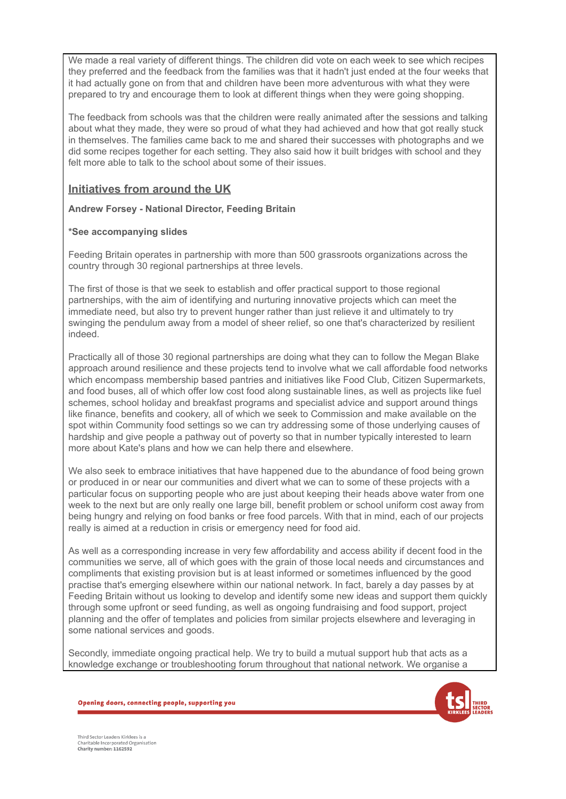We made a real variety of different things. The children did vote on each week to see which recipes they preferred and the feedback from the families was that it hadn't just ended at the four weeks that it had actually gone on from that and children have been more adventurous with what they were prepared to try and encourage them to look at different things when they were going shopping.

The feedback from schools was that the children were really animated after the sessions and talking about what they made, they were so proud of what they had achieved and how that got really stuck in themselves. The families came back to me and shared their successes with photographs and we did some recipes together for each setting. They also said how it built bridges with school and they felt more able to talk to the school about some of their issues.

# **Initiatives from around the UK**

**Andrew Forsey - National Director, Feeding Britain**

#### **\*See accompanying slides**

Feeding Britain operates in partnership with more than 500 grassroots organizations across the country through 30 regional partnerships at three levels.

The first of those is that we seek to establish and offer practical support to those regional partnerships, with the aim of identifying and nurturing innovative projects which can meet the immediate need, but also try to prevent hunger rather than just relieve it and ultimately to try swinging the pendulum away from a model of sheer relief, so one that's characterized by resilient indeed.

Practically all of those 30 regional partnerships are doing what they can to follow the Megan Blake approach around resilience and these projects tend to involve what we call affordable food networks which encompass membership based pantries and initiatives like Food Club, Citizen Supermarkets, and food buses, all of which offer low cost food along sustainable lines, as well as projects like fuel schemes, school holiday and breakfast programs and specialist advice and support around things like finance, benefits and cookery, all of which we seek to Commission and make available on the spot within Community food settings so we can try addressing some of those underlying causes of hardship and give people a pathway out of poverty so that in number typically interested to learn more about Kate's plans and how we can help there and elsewhere.

We also seek to embrace initiatives that have happened due to the abundance of food being grown or produced in or near our communities and divert what we can to some of these projects with a particular focus on supporting people who are just about keeping their heads above water from one week to the next but are only really one large bill, benefit problem or school uniform cost away from being hungry and relying on food banks or free food parcels. With that in mind, each of our projects really is aimed at a reduction in crisis or emergency need for food aid.

As well as a corresponding increase in very few affordability and access ability if decent food in the communities we serve, all of which goes with the grain of those local needs and circumstances and compliments that existing provision but is at least informed or sometimes influenced by the good practise that's emerging elsewhere within our national network. In fact, barely a day passes by at Feeding Britain without us looking to develop and identify some new ideas and support them quickly through some upfront or seed funding, as well as ongoing fundraising and food support, project planning and the offer of templates and policies from similar projects elsewhere and leveraging in some national services and goods.

Secondly, immediate ongoing practical help. We try to build a mutual support hub that acts as a knowledge exchange or troubleshooting forum throughout that national network. We organise a

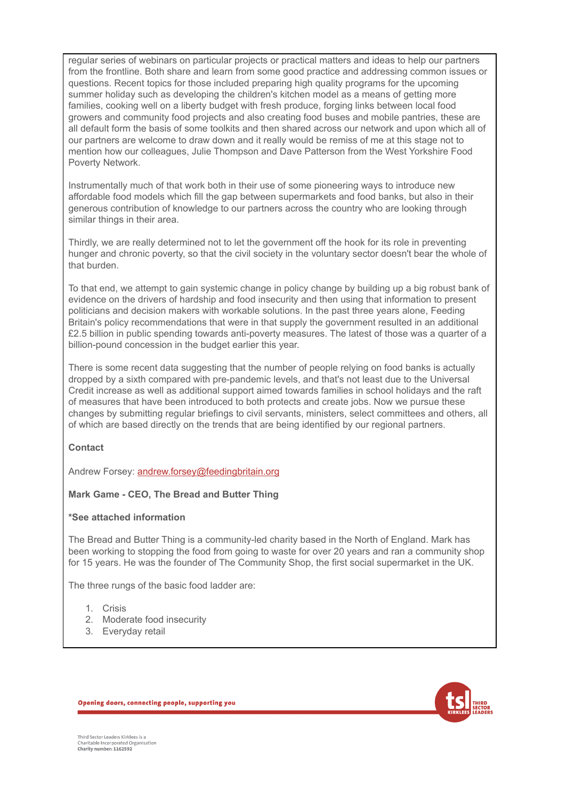regular series of webinars on particular projects or practical matters and ideas to help our partners from the frontline. Both share and learn from some good practice and addressing common issues or questions. Recent topics for those included preparing high quality programs for the upcoming summer holiday such as developing the children's kitchen model as a means of getting more families, cooking well on a liberty budget with fresh produce, forging links between local food growers and community food projects and also creating food buses and mobile pantries, these are all default form the basis of some toolkits and then shared across our network and upon which all of our partners are welcome to draw down and it really would be remiss of me at this stage not to mention how our colleagues, Julie Thompson and Dave Patterson from the West Yorkshire Food Poverty Network.

Instrumentally much of that work both in their use of some pioneering ways to introduce new affordable food models which fill the gap between supermarkets and food banks, but also in their generous contribution of knowledge to our partners across the country who are looking through similar things in their area.

Thirdly, we are really determined not to let the government off the hook for its role in preventing hunger and chronic poverty, so that the civil society in the voluntary sector doesn't bear the whole of that burden.

To that end, we attempt to gain systemic change in policy change by building up a big robust bank of evidence on the drivers of hardship and food insecurity and then using that information to present politicians and decision makers with workable solutions. In the past three years alone, Feeding Britain's policy recommendations that were in that supply the government resulted in an additional £2.5 billion in public spending towards anti-poverty measures. The latest of those was a quarter of a billion-pound concession in the budget earlier this year.

There is some recent data suggesting that the number of people relying on food banks is actually dropped by a sixth compared with pre-pandemic levels, and that's not least due to the Universal Credit increase as well as additional support aimed towards families in school holidays and the raft of measures that have been introduced to both protects and create jobs. Now we pursue these changes by submitting regular briefings to civil servants, ministers, select committees and others, all of which are based directly on the trends that are being identified by our regional partners.

**Contact**

Andrew Forsey: [andrew.forsey@feedingbritain.org](mailto:andrew.forsey@feedingbritain.org)

#### **Mark Game - CEO, The Bread and Butter Thing**

#### **\*See attached information**

The Bread and Butter Thing is a community-led charity based in the North of England. Mark has been working to stopping the food from going to waste for over 20 years and ran a community shop for 15 years. He was the founder of The Community Shop, the first social supermarket in the UK.

The three rungs of the basic food ladder are:

- 1. Crisis
- 2. Moderate food insecurity
- 3. Everyday retail

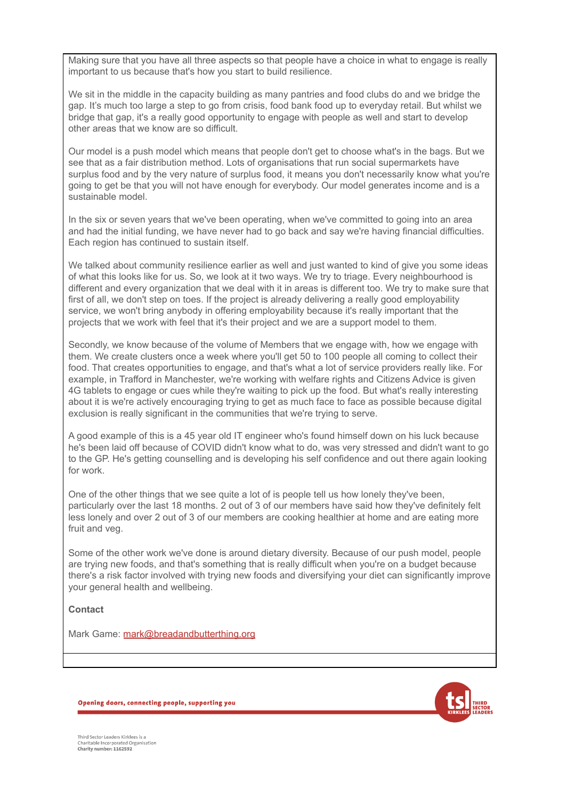Making sure that you have all three aspects so that people have a choice in what to engage is really important to us because that's how you start to build resilience.

We sit in the middle in the capacity building as many pantries and food clubs do and we bridge the gap. It's much too large a step to go from crisis, food bank food up to everyday retail. But whilst we bridge that gap, it's a really good opportunity to engage with people as well and start to develop other areas that we know are so difficult.

Our model is a push model which means that people don't get to choose what's in the bags. But we see that as a fair distribution method. Lots of organisations that run social supermarkets have surplus food and by the very nature of surplus food, it means you don't necessarily know what you're going to get be that you will not have enough for everybody. Our model generates income and is a sustainable model.

In the six or seven years that we've been operating, when we've committed to going into an area and had the initial funding, we have never had to go back and say we're having financial difficulties. Each region has continued to sustain itself.

We talked about community resilience earlier as well and just wanted to kind of give you some ideas of what this looks like for us. So, we look at it two ways. We try to triage. Every neighbourhood is different and every organization that we deal with it in areas is different too. We try to make sure that first of all, we don't step on toes. If the project is already delivering a really good employability service, we won't bring anybody in offering employability because it's really important that the projects that we work with feel that it's their project and we are a support model to them.

Secondly, we know because of the volume of Members that we engage with, how we engage with them. We create clusters once a week where you'll get 50 to 100 people all coming to collect their food. That creates opportunities to engage, and that's what a lot of service providers really like. For example, in Trafford in Manchester, we're working with welfare rights and Citizens Advice is given 4G tablets to engage or cues while they're waiting to pick up the food. But what's really interesting about it is we're actively encouraging trying to get as much face to face as possible because digital exclusion is really significant in the communities that we're trying to serve.

A good example of this is a 45 year old IT engineer who's found himself down on his luck because he's been laid off because of COVID didn't know what to do, was very stressed and didn't want to go to the GP. He's getting counselling and is developing his self confidence and out there again looking for work.

One of the other things that we see quite a lot of is people tell us how lonely they've been, particularly over the last 18 months. 2 out of 3 of our members have said how they've definitely felt less lonely and over 2 out of 3 of our members are cooking healthier at home and are eating more fruit and veg.

Some of the other work we've done is around dietary diversity. Because of our push model, people are trying new foods, and that's something that is really difficult when you're on a budget because there's a risk factor involved with trying new foods and diversifying your diet can significantly improve your general health and wellbeing.

**Contact**

Mark Game: [mark@breadandbutterthing.org](mailto:mark@breadandbutterthing.org)